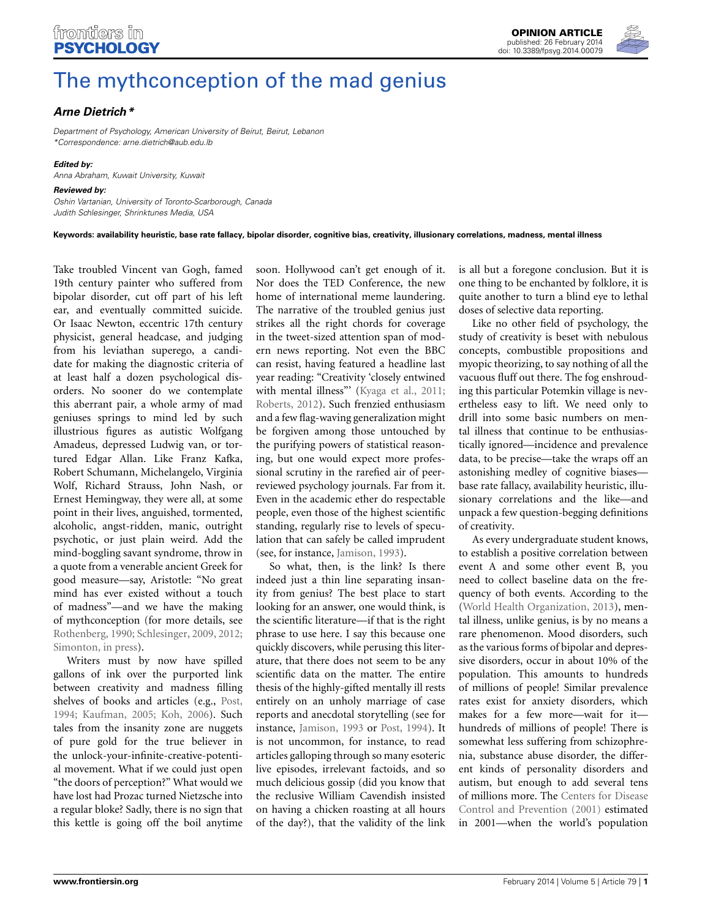

# [The mythconception of the mad genius](http://www.frontiersin.org/journal/10.3389/fpsyg.2014.00079/full)

# *[Arne Dietrich](http://www.frontiersin.org/people/u/126818)\**

*Department of Psychology, American University of Beirut, Beirut, Lebanon \*Correspondence: arne.dietrich@aub.edu.lb*

#### *Edited by:*

*Anna Abraham, Kuwait University, Kuwait*

## *Reviewed by:*

*Oshin Vartanian, University of Toronto-Scarborough, Canada Judith Schlesinger, Shrinktunes Media, USA*

**Keywords: availability heuristic, base rate fallacy, bipolar disorder, cognitive bias, creativity, illusionary correlations, madness, mental illness**

Take troubled Vincent van Gogh, famed 19th century painter who suffered from bipolar disorder, cut off part of his left ear, and eventually committed suicide. Or Isaac Newton, eccentric 17th century physicist, general headcase, and judging from his leviathan superego, a candidate for making the diagnostic criteria of at least half a dozen psychological disorders. No sooner do we contemplate this aberrant pair, a whole army of mad geniuses springs to mind led by such illustrious figures as autistic Wolfgang Amadeus, depressed Ludwig van, or tortured Edgar Allan. Like Franz Kafka, Robert Schumann, Michelangelo, Virginia Wolf, Richard Strauss, John Nash, or Ernest Hemingway, they were all, at some point in their lives, anguished, tormented, alcoholic, angst-ridden, manic, outright psychotic, or just plain weird. Add the mind-boggling savant syndrome, throw in a quote from a venerable ancient Greek for good measure—say, Aristotle: "No great mind has ever existed without a touch of madness"—and we have the making of mythconception (for more details, see [Rothenberg, 1990](#page-2-0); [Schlesinger, 2009](#page-2-1), [2012;](#page-2-2) [Simonton](#page-2-3), [in press](#page-2-3)).

Writers must by now have spilled gallons of ink over the purported link between creativity and madness filling shelves of books and articles (e.g., [Post,](#page-2-4) [1994](#page-2-4); [Kaufman](#page-2-5), [2005](#page-2-5); [Koh](#page-2-6), [2006](#page-2-6)). Such tales from the insanity zone are nuggets of pure gold for the true believer in the unlock-your-infinite-creative-potential movement. What if we could just open "the doors of perception?" What would we have lost had Prozac turned Nietzsche into a regular bloke? Sadly, there is no sign that this kettle is going off the boil anytime

soon. Hollywood can't get enough of it. Nor does the TED Conference, the new home of international meme laundering. The narrative of the troubled genius just strikes all the right chords for coverage in the tweet-sized attention span of modern news reporting. Not even the BBC can resist, having featured a headline last year reading: "Creativity 'closely entwined with mental illness"' [\(Kyaga et al.](#page-2-7), [2011;](#page-2-7) [Roberts, 2012](#page-2-8)). Such frenzied enthusiasm and a few flag-waving generalization might be forgiven among those untouched by the purifying powers of statistical reasoning, but one would expect more professional scrutiny in the rarefied air of peerreviewed psychology journals. Far from it. Even in the academic ether do respectable people, even those of the highest scientific standing, regularly rise to levels of speculation that can safely be called imprudent (see, for instance, [Jamison](#page-2-9), [1993](#page-2-9)).

So what, then, is the link? Is there indeed just a thin line separating insanity from genius? The best place to start looking for an answer, one would think, is the scientific literature—if that is the right phrase to use here. I say this because one quickly discovers, while perusing this literature, that there does not seem to be any scientific data on the matter. The entire thesis of the highly-gifted mentally ill rests entirely on an unholy marriage of case reports and anecdotal storytelling (see for instance, [Jamison, 1993](#page-2-9) or [Post](#page-2-4), [1994\)](#page-2-4). It is not uncommon, for instance, to read articles galloping through so many esoteric live episodes, irrelevant factoids, and so much delicious gossip (did you know that the reclusive William Cavendish insisted on having a chicken roasting at all hours of the day?), that the validity of the link is all but a foregone conclusion. But it is one thing to be enchanted by folklore, it is quite another to turn a blind eye to lethal doses of selective data reporting.

Like no other field of psychology, the study of creativity is beset with nebulous concepts, combustible propositions and myopic theorizing, to say nothing of all the vacuous fluff out there. The fog enshrouding this particular Potemkin village is nevertheless easy to lift. We need only to drill into some basic numbers on mental illness that continue to be enthusiastically ignored—incidence and prevalence data, to be precise—take the wraps off an astonishing medley of cognitive biases base rate fallacy, availability heuristic, illusionary correlations and the like—and unpack a few question-begging definitions of creativity.

As every undergraduate student knows, to establish a positive correlation between event A and some other event B, you need to collect baseline data on the frequency of both events. According to the [\(World Health Organization, 2013\)](#page-2-10), mental illness, unlike genius, is by no means a rare phenomenon. Mood disorders, such as the various forms of bipolar and depressive disorders, occur in about 10% of the population. This amounts to hundreds of millions of people! Similar prevalence rates exist for anxiety disorders, which makes for a few more—wait for it hundreds of millions of people! There is somewhat less suffering from schizophrenia, substance abuse disorder, the different kinds of personality disorders and autism, but enough to add several tens of millions more. The [C](#page-2-11)enters for Disease Control and Prevention [\(2001](#page-2-11)) estimated in 2001—when the world's population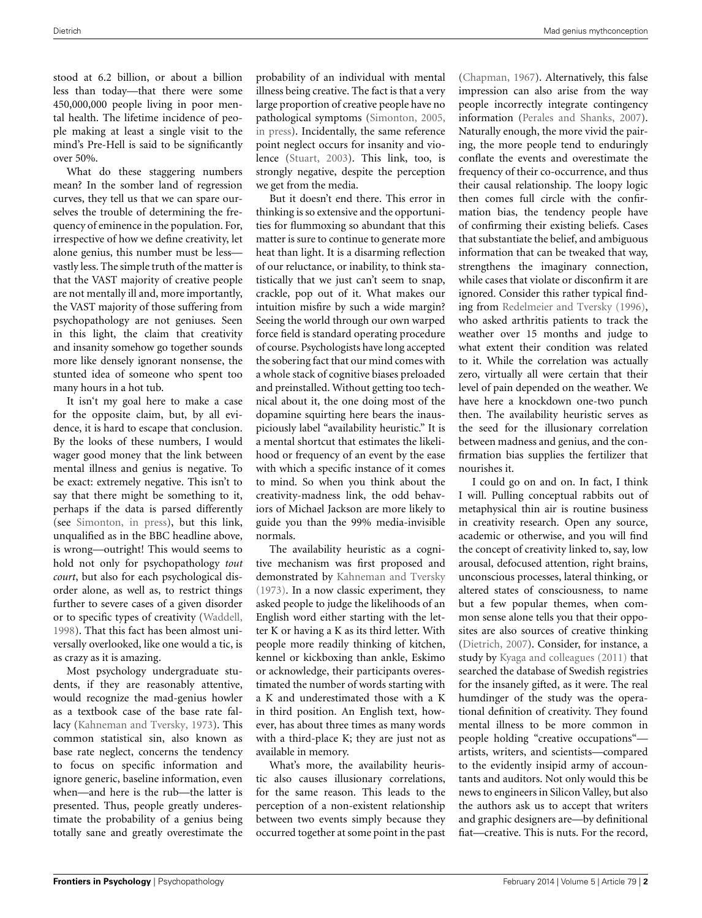stood at 6.2 billion, or about a billion less than today—that there were some 450,000,000 people living in poor mental health. The lifetime incidence of people making at least a single visit to the mind's Pre-Hell is said to be significantly over 50%.

What do these staggering numbers mean? In the somber land of regression curves, they tell us that we can spare ourselves the trouble of determining the frequency of eminence in the population. For, irrespective of how we define creativity, let alone genius, this number must be less vastly less. The simple truth of the matter is that the VAST majority of creative people are not mentally ill and, more importantly, the VAST majority of those suffering from psychopathology are not geniuses. Seen in this light, the claim that creativity and insanity somehow go together sounds more like densely ignorant nonsense, the stunted idea of someone who spent too many hours in a hot tub.

It isn't my goal here to make a case for the opposite claim, but, by all evidence, it is hard to escape that conclusion. By the looks of these numbers, I would wager good money that the link between mental illness and genius is negative. To be exact: extremely negative. This isn't to say that there might be something to it, perhaps if the data is parsed differently (see [Simonton, in press\)](#page-2-3), but this link, unqualified as in the BBC headline above, is wrong—outright! This would seems to hold not only for psychopathology *tout court*, but also for each psychological disorder alone, as well as, to restrict things further to severe cases of a given disorder or to specific types of creativity [\(Waddell,](#page-2-12) [1998](#page-2-12)). That this fact has been almost universally overlooked, like one would a tic, is as crazy as it is amazing.

Most psychology undergraduate students, if they are reasonably attentive, would recognize the mad-genius howler as a textbook case of the base rate fallacy [\(Kahneman and Tversky](#page-2-13), [1973\)](#page-2-13). This common statistical sin, also known as base rate neglect, concerns the tendency to focus on specific information and ignore generic, baseline information, even when—and here is the rub—the latter is presented. Thus, people greatly underestimate the probability of a genius being totally sane and greatly overestimate the

probability of an individual with mental illness being creative. The fact is that a very large proportion of creative people have no pathological symptoms [\(Simonton, 2005](#page-2-14), [in press](#page-2-3)). Incidentally, the same reference point neglect occurs for insanity and violence [\(Stuart, 2003](#page-2-15)). This link, too, is strongly negative, despite the perception we get from the media.

But it doesn't end there. This error in thinking is so extensive and the opportunities for flummoxing so abundant that this matter is sure to continue to generate more heat than light. It is a disarming reflection of our reluctance, or inability, to think statistically that we just can't seem to snap, crackle, pop out of it. What makes our intuition misfire by such a wide margin? Seeing the world through our own warped force field is standard operating procedure of course. Psychologists have long accepted the sobering fact that our mind comes with a whole stack of cognitive biases preloaded and preinstalled. Without getting too technical about it, the one doing most of the dopamine squirting here bears the inauspiciously label "availability heuristic." It is a mental shortcut that estimates the likelihood or frequency of an event by the ease with which a specific instance of it comes to mind. So when you think about the creativity-madness link, the odd behaviors of Michael Jackson are more likely to guide you than the 99% media-invisible normals.

The availability heuristic as a cognitive mechanism was first proposed and demonstrated by [Kahneman and Tversky](#page-2-13) [\(1973\)](#page-2-13). In a now classic experiment, they asked people to judge the likelihoods of an English word either starting with the letter K or having a K as its third letter. With people more readily thinking of kitchen, kennel or kickboxing than ankle, Eskimo or acknowledge, their participants overestimated the number of words starting with a K and underestimated those with a K in third position. An English text, however, has about three times as many words with a third-place K; they are just not as available in memory.

What's more, the availability heuristic also causes illusionary correlations, for the same reason. This leads to the perception of a non-existent relationship between two events simply because they occurred together at some point in the past

[\(Chapman](#page-2-16), [1967\)](#page-2-16). Alternatively, this false impression can also arise from the way people incorrectly integrate contingency information [\(Perales and Shanks](#page-2-17), [2007\)](#page-2-17). Naturally enough, the more vivid the pairing, the more people tend to enduringly conflate the events and overestimate the frequency of their co-occurrence, and thus their causal relationship. The loopy logic then comes full circle with the confirmation bias, the tendency people have of confirming their existing beliefs. Cases that substantiate the belief, and ambiguous information that can be tweaked that way, strengthens the imaginary connection, while cases that violate or disconfirm it are ignored. Consider this rather typical finding from [Redelmeier and Tversky](#page-2-18) [\(1996\)](#page-2-18), who asked arthritis patients to track the weather over 15 months and judge to what extent their condition was related to it. While the correlation was actually zero, virtually all were certain that their level of pain depended on the weather. We have here a knockdown one-two punch then. The availability heuristic serves as the seed for the illusionary correlation between madness and genius, and the confirmation bias supplies the fertilizer that nourishes it.

I could go on and on. In fact, I think I will. Pulling conceptual rabbits out of metaphysical thin air is routine business in creativity research. Open any source, academic or otherwise, and you will find the concept of creativity linked to, say, low arousal, defocused attention, right brains, unconscious processes, lateral thinking, or altered states of consciousness, to name but a few popular themes, when common sense alone tells you that their opposites are also sources of creative thinking [\(Dietrich](#page-2-19), [2007\)](#page-2-19). Consider, for instance, a study by [Kyaga and colleagues](#page-2-7) [\(2011\)](#page-2-7) that searched the database of Swedish registries for the insanely gifted, as it were. The real humdinger of the study was the operational definition of creativity. They found mental illness to be more common in people holding "creative occupations" artists, writers, and scientists—compared to the evidently insipid army of accountants and auditors. Not only would this be news to engineers in Silicon Valley, but also the authors ask us to accept that writers and graphic designers are—by definitional fiat—creative. This is nuts. For the record,